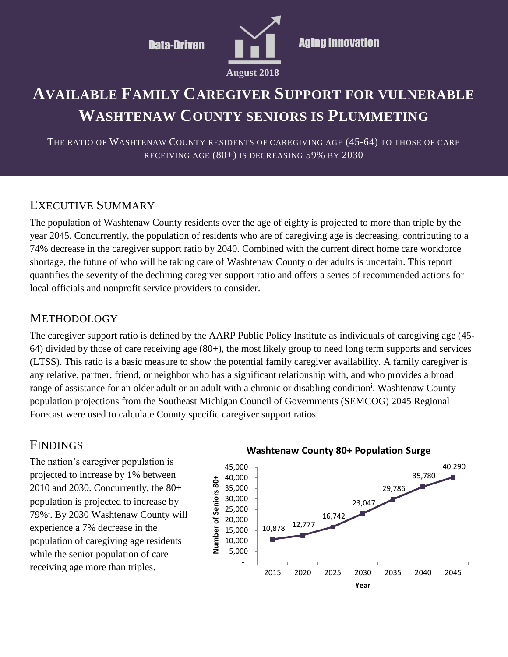

# **AVAILABLE FAMILY CAREGIVER SUPPORT FOR VULNERABLE WASHTENAW COUNTY SENIORS IS PLUMMETING**

THE RATIO OF WASHTENAW COUNTY RESIDENTS OF CAREGIVING AGE (45-64) TO THOSE OF CARE RECEIVING AGE (80+) IS DECREASING 59% BY 2030

#### EXECUTIVE SUMMARY

The population of Washtenaw County residents over the age of eighty is projected to more than triple by the year 2045. Concurrently, the population of residents who are of caregiving age is decreasing, contributing to a 74% decrease in the caregiver support ratio by 2040. Combined with the current direct home care workforce shortage, the future of who will be taking care of Washtenaw County older adults is uncertain. This report quantifies the severity of the declining caregiver support ratio and offers a series of recommended actions for local officials and nonprofit service providers to consider.

#### **METHODOLOGY**

The caregiver support ratio is defined by the AARP Public Policy Institute as individuals of caregiving age (45- 64) divided by those of care receiving age (80+), the most likely group to need long term supports and services (LTSS). This ratio is a basic measure to show the potential family caregiver availability. A family caregiver is any relative, partner, friend, or neighbor who has a significant relationship with, and who provides a broad range of assistance for an older adult or an adult with a chronic or disabling condition<sup>i</sup>. Washtenaw County population projections from the Southeast Michigan Council of Governments (SEMCOG) 2045 Regional Forecast were used to calculate County specific caregiver support ratios.

### FINDINGS

The nation's caregiver population is projected to increase by 1% between 2010 and 2030. Concurrently, the 80+ population is projected to increase by 79%<sup>i</sup> . By 2030 Washtenaw County will experience a 7% decrease in the population of caregiving age residents while the senior population of care receiving age more than triples.



#### **Washtenaw County 80+ Population Surge**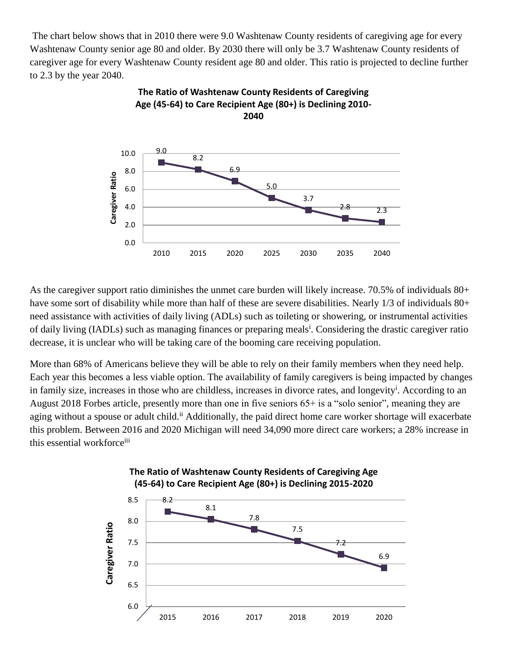The chart below shows that in 2010 there were 9.0 Washtenaw County residents of caregiving age for every Washtenaw County senior age 80 and older. By 2030 there will only be 3.7 Washtenaw County residents of caregiver age for every Washtenaw County resident age 80 and older. This ratio is projected to decline further to 2.3 by the year 2040.



**The Ratio of Washtenaw County Residents of Caregiving Age (45-64) to Care Recipient Age (80+) is Declining 2010-**

As the caregiver support ratio diminishes the unmet care burden will likely increase. 70.5% of individuals 80+ have some sort of disability while more than half of these are severe disabilities. Nearly 1/3 of individuals 80+ need assistance with activities of daily living (ADLs) such as toileting or showering, or instrumental activities of daily living (IADLs) such as managing finances or preparing meals<sup>i</sup>. Considering the drastic caregiver ratio decrease, it is unclear who will be taking care of the booming care receiving population.

More than 68% of Americans believe they will be able to rely on their family members when they need help. Each year this becomes a less viable option. The availability of family caregivers is being impacted by changes in family size, increases in those who are childless, increases in divorce rates, and longevity<sup>i</sup>. According to an August 2018 Forbes article, presently more than one in five seniors 65+ is a "solo senior", meaning they are aging without a spouse or adult child.<sup>ii</sup> Additionally, the paid direct home care worker shortage will exacerbate this problem. Between 2016 and 2020 Michigan will need 34,090 more direct care workers; a 28% increase in this essential workforce<sup>iii</sup>

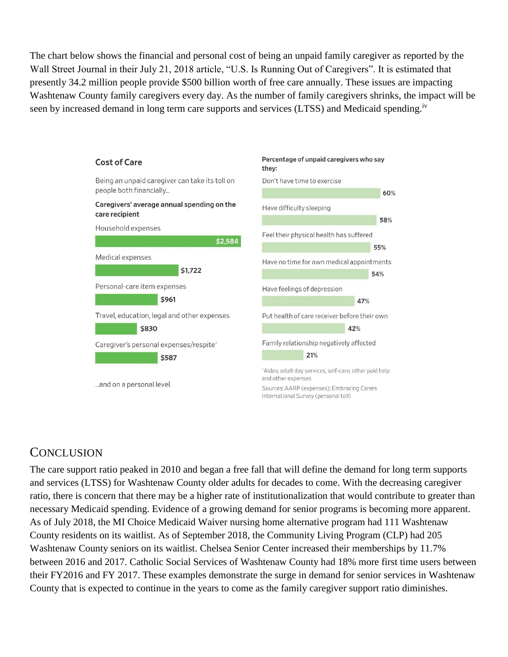The chart below shows the financial and personal cost of being an unpaid family caregiver as reported by the Wall Street Journal in their July 21, 2018 article, "U.S. Is Running Out of Caregivers". It is estimated that presently 34.2 million people provide \$500 billion worth of free care annually. These issues are impacting Washtenaw County family caregivers every day. As the number of family caregivers shrinks, the impact will be seen by increased demand in long term care supports and services (LTSS) and Medicaid spending.<sup>iv</sup>



### **CONCLUSION**

The care support ratio peaked in 2010 and began a free fall that will define the demand for long term supports and services (LTSS) for Washtenaw County older adults for decades to come. With the decreasing caregiver ratio, there is concern that there may be a higher rate of institutionalization that would contribute to greater than necessary Medicaid spending. Evidence of a growing demand for senior programs is becoming more apparent. As of July 2018, the MI Choice Medicaid Waiver nursing home alternative program had 111 Washtenaw County residents on its waitlist. As of September 2018, the Community Living Program (CLP) had 205 Washtenaw County seniors on its waitlist. Chelsea Senior Center increased their memberships by 11.7% between 2016 and 2017. Catholic Social Services of Washtenaw County had 18% more first time users between their FY2016 and FY 2017. These examples demonstrate the surge in demand for senior services in Washtenaw County that is expected to continue in the years to come as the family caregiver support ratio diminishes.